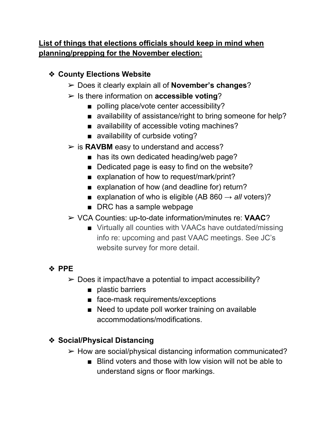## **List of things that elections officials should keep in mind when planning/prepping for the November election:**

### ❖ **County Elections Website**

- ➢ Does it clearly explain all of **November's changes**?
- ➢ Is there information on **accessible voting**?
	- polling place/vote center accessibility?
	- availability of assistance/right to bring someone for help?
	- availability of accessible voting machines?
	- availability of curbside voting?
- ➢ is **RAVBM** easy to understand and access?
	- has its own dedicated heading/web page?
	- Dedicated page is easy to find on the website?
	- explanation of how to request/mark/print?
	- explanation of how (and deadline for) return?
	- **E** explanation of who is eligible (AB 860  $\rightarrow$  *all* voters)?
	- DRC has a sample webpage
- ➢ VCA Counties: up-to-date information/minutes re: **VAAC**?
	- Virtually all counties with VAACs have outdated/missing info re: upcoming and past VAAC meetings. See JC's website survey for more detail.

# ❖ **PPE**

- $\triangleright$  Does it impact/have a potential to impact accessibility?
	- plastic barriers
	- face-mask requirements/exceptions
	- Need to update poll worker training on available accommodations/modifications.

## ❖ **Social/Physical Distancing**

- $\triangleright$  How are social/physical distancing information communicated?
	- Blind voters and those with low vision will not be able to understand signs or floor markings.